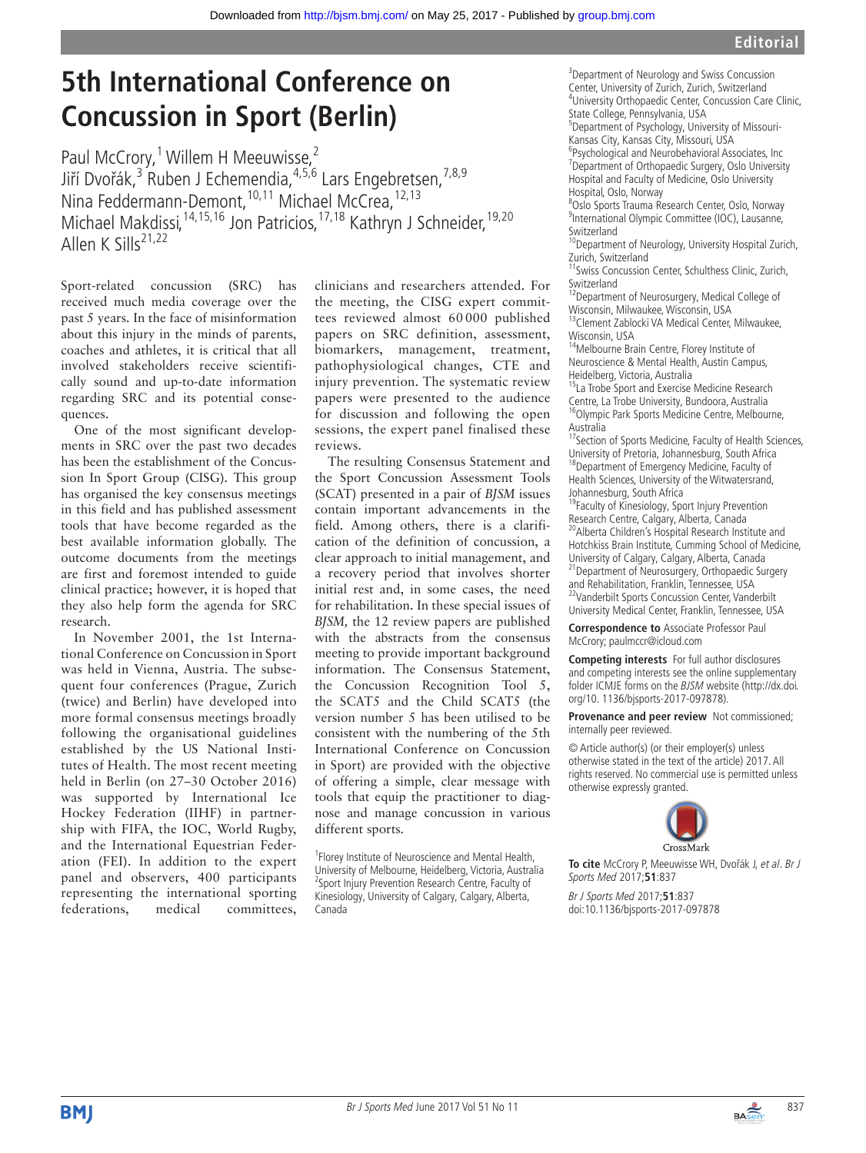## **5th International Conference on Concussion in Sport (Berlin)**

Paul McCrory,<sup>1</sup> Willem H Meeuwisse,<sup>2</sup> Jiří Dvořák,<sup>3</sup> Ruben J Echemendia,<sup>4,5,6</sup> Lars Engebretsen,<sup>7,8,9</sup> Nina Feddermann-Demont,<sup>10,11</sup> Michael McCrea,<sup>12,13</sup> Michael Makdissi, <sup>14, 15, 16</sup> Jon Patricios, <sup>17, 18</sup> Kathryn J Schneider, <sup>19, 20</sup> Allen K Sills<sup>21,22</sup>

Sport-related concussion (SRC) has received much media coverage over the past 5 years. In the face of misinformation about this injury in the minds of parents, coaches and athletes, it is critical that all involved stakeholders receive scientifically sound and up-to-date information regarding SRC and its potential consequences.

One of the most significant developments in SRC over the past two decades has been the establishment of the Concussion In Sport Group (CISG). This group has organised the key consensus meetings in this field and has published assessment tools that have become regarded as the best available information globally. The outcome documents from the meetings are first and foremost intended to guide clinical practice; however, it is hoped that they also help form the agenda for SRC research.

In November 2001, the 1st International Conference on Concussion in Sport was held in Vienna, Austria. The subsequent four conferences (Prague, Zurich (twice) and Berlin) have developed into more formal consensus meetings broadly following the organisational guidelines established by the US National Institutes of Health. The most recent meeting held in Berlin (on 27–30 October 2016) was supported by International Ice Hockey Federation (IIHF) in partnership with FIFA, the IOC, World Rugby, and the International Equestrian Federation (FEI). In addition to the expert panel and observers, 400 participants representing the international sporting federations, medical committees,

clinicians and researchers attended. For the meeting, the CISG expert committees reviewed almost 60 000 published papers on SRC definition, assessment, biomarkers, management, treatment, pathophysiological changes, CTE and injury prevention. The systematic review papers were presented to the audience for discussion and following the open sessions, the expert panel finalised these reviews.

The resulting Consensus Statement and the Sport Concussion Assessment Tools (SCAT) presented in a pair of *BJSM* issues contain important advancements in the field. Among others, there is a clarification of the definition of concussion, a clear approach to initial management, and a recovery period that involves shorter initial rest and, in some cases, the need for rehabilitation. In these special issues of *BJSM,* the 12 review papers are published with the abstracts from the consensus meeting to provide important background information. The Consensus Statement, the Concussion Recognition Tool 5, the SCAT5 and the Child SCAT5 (the version number 5 has been utilised to be consistent with the numbering of the 5th International Conference on Concussion in Sport) are provided with the objective of offering a simple, clear message with tools that equip the practitioner to diagnose and manage concussion in various different sports.

<sup>1</sup> Florey Institute of Neuroscience and Mental Health, University of Melbourne, Heidelberg, Victoria, Australia <sup>2</sup>Sport Injury Prevention Research Centre, Faculty of Kinesiology, University of Calgary, Calgary, Alberta, Canada

<sup>3</sup> Department of Neurology and Swiss Concussion Center, University of Zurich, Zurich, Switzerland <sup>4</sup>University Orthopaedic Center, Concussion Care Clinic, State College, Pennsylvania, USA

5 Department of Psychology, University of Missouri-Kansas City, Kansas City, Missouri, USA <sup>6</sup>Psychological and Neurobehavioral Associates, Inc

<sup>7</sup> Department of Orthopaedic Surgery, Oslo University Hospital and Faculty of Medicine, Oslo University Hospital, Oslo, Norway 8 Oslo Sports Trauma Research Center, Oslo, Norway

<sup>9</sup>International Olympic Committee (IOC), Lausanne, Switzerland

<sup>10</sup>Department of Neurology, University Hospital Zurich, Zurich, Switzerland

<sup>11</sup>Swiss Concussion Center, Schulthess Clinic, Zurich, Switzerland

<sup>12</sup>Department of Neurosurgery, Medical College of Wisconsin, Milwaukee, Wisconsin, USA <sup>13</sup>Clement Zablocki VA Medical Center, Milwaukee, Wisconsin, USA

<sup>4</sup>Melbourne Brain Centre, Florey Institute of Neuroscience & Mental Health, Austin Campus, Heidelberg, Victoria, Australia

<sup>15</sup>La Trobe Sport and Exercise Medicine Research Centre, La Trobe University, Bundoora, Australia <sup>16</sup>Olympic Park Sports Medicine Centre, Melbourne, Australia

<sup>17</sup>Section of Sports Medicine, Faculty of Health Sciences, University of Pretoria, Johannesburg, South Africa <sup>18</sup>Department of Emergency Medicine, Faculty of Health Sciences, University of the Witwatersrand, Johannesburg, South Africa

<sup>19</sup>Faculty of Kinesiology, Sport Injury Prevention Research Centre, Calgary, Alberta, Canada 20Alberta Children's Hospital Research Institute and Hotchkiss Brain Institute, Cumming School of Medicine, University of Calgary, Calgary, Alberta, Canada 21Department of Neurosurgery, Orthopaedic Surgery and Rehabilitation, Franklin, Tennessee, USA <sup>22</sup>Vanderbilt Sports Concussion Center, Vanderbilt University Medical Center, Franklin, Tennessee, USA

**Correspondence to** Associate Professor Paul McCrory; paulmccr@icloud.com

**Competing interests** For full author disclosures and competing interests see the online supplementary folder ICMJE forms on the BJSM website (http://dx.doi. org/10. 1136/bjsports-2017-097878).

## **Provenance and peer review** Not commissioned; internally peer reviewed.

© Article author(s) (or their employer(s) unless otherwise stated in the text of the article) 2017. All rights reserved. No commercial use is permitted unless otherwise expressly granted.



**To cite** McCrory P, Meeuwisse WH, Dvořák J, et al. Br J Sports Med 2017;**51**:837

Br J Sports Med 2017;**51**:837 doi:10.1136/bjsports-2017-097878